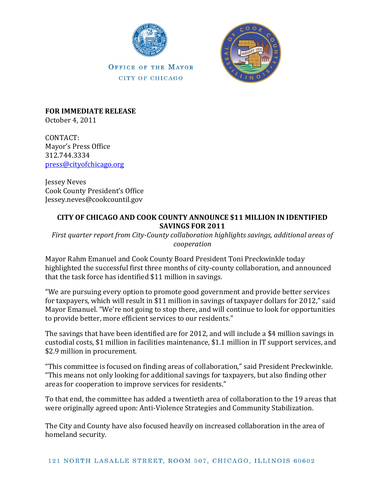

OFFICE OF THE MAYOR CITY OF CHICAGO



**FOR IMMEDIATE RELEASE** October 4, 2011

CONTACT: Mayor's Press Office 312.744.3334 [press@cityofchicago.org](mailto:press@cityofchicago.org)

Jessey Neves Cook County President's Office Jessey.neves@cookcountil.gov

## **CITY OF CHICAGO AND COOK COUNTY ANNOUNCE \$11 MILLION IN IDENTIFIED SAVINGS FOR 2011**

*First quarter report from City-County collaboration highlights savings, additional areas of cooperation*

Mayor Rahm Emanuel and Cook County Board President Toni Preckwinkle today highlighted the successful first three months of city-county collaboration, and announced that the task force has identified \$11 million in savings.

"We are pursuing every option to promote good government and provide better services for taxpayers, which will result in \$11 million in savings of taxpayer dollars for 2012," said Mayor Emanuel. "We're not going to stop there, and will continue to look for opportunities to provide better, more efficient services to our residents."

The savings that have been identified are for 2012, and will include a \$4 million savings in custodial costs, \$1 million in facilities maintenance, \$1.1 million in IT support services, and \$2.9 million in procurement.

"This committee is focused on finding areas of collaboration," said President Preckwinkle. "This means not only looking for additional savings for taxpayers, but also finding other areas for cooperation to improve services for residents."

To that end, the committee has added a twentieth area of collaboration to the 19 areas that were originally agreed upon: Anti-Violence Strategies and Community Stabilization.

The City and County have also focused heavily on increased collaboration in the area of homeland security.